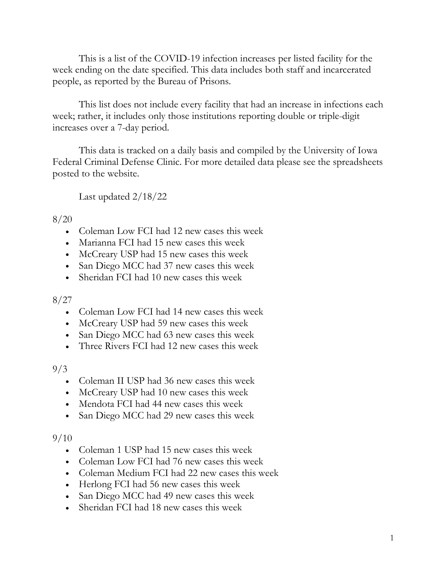This is a list of the COVID-19 infection increases per listed facility for the week ending on the date specified. This data includes both staff and incarcerated people, as reported by the Bureau of Prisons.

This list does not include every facility that had an increase in infections each week; rather, it includes only those institutions reporting double or triple-digit increases over a 7-day period.

This data is tracked on a daily basis and compiled by the University of Iowa Federal Criminal Defense Clinic. For more detailed data please see the spreadsheets posted to the website.

Last updated 2/18/22

### 8/20

- Coleman Low FCI had 12 new cases this week
- Marianna FCI had 15 new cases this week
- McCreary USP had 15 new cases this week
- San Diego MCC had 37 new cases this week
- Sheridan FCI had 10 new cases this week

#### 8/27

- Coleman Low FCI had 14 new cases this week
- McCreary USP had 59 new cases this week
- San Diego MCC had 63 new cases this week
- Three Rivers FCI had 12 new cases this week

## 9/3

- Coleman II USP had 36 new cases this week
- McCreary USP had 10 new cases this week
- Mendota FCI had 44 new cases this week
- San Diego MCC had 29 new cases this week

- Coleman 1 USP had 15 new cases this week
- Coleman Low FCI had 76 new cases this week
- Coleman Medium FCI had 22 new cases this week
- Herlong FCI had 56 new cases this week
- San Diego MCC had 49 new cases this week
- Sheridan FCI had 18 new cases this week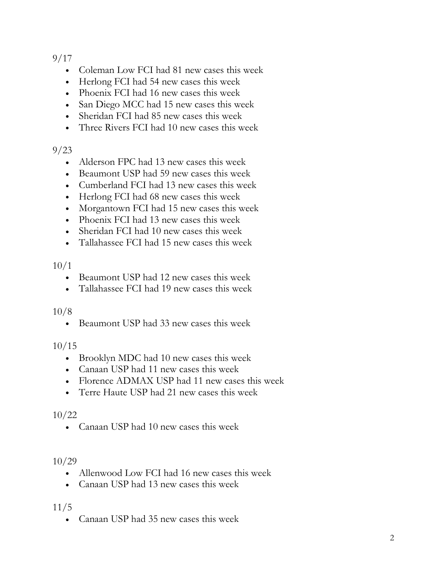- Coleman Low FCI had 81 new cases this week
- Herlong FCI had 54 new cases this week
- Phoenix FCI had 16 new cases this week
- San Diego MCC had 15 new cases this week
- Sheridan FCI had 85 new cases this week
- Three Rivers FCI had 10 new cases this week

## 9/23

- Alderson FPC had 13 new cases this week
- Beaumont USP had 59 new cases this week
- Cumberland FCI had 13 new cases this week
- Herlong FCI had 68 new cases this week
- Morgantown FCI had 15 new cases this week
- Phoenix FCI had 13 new cases this week
- Sheridan FCI had 10 new cases this week
- Tallahassee FCI had 15 new cases this week

### 10/1

- Beaumont USP had 12 new cases this week
- Tallahassee FCI had 19 new cases this week

#### 10/8

• Beaumont USP had 33 new cases this week

## 10/15

- Brooklyn MDC had 10 new cases this week
- Canaan USP had 11 new cases this week
- Florence ADMAX USP had 11 new cases this week
- Terre Haute USP had 21 new cases this week

## 10/22

• Canaan USP had 10 new cases this week

## 10/29

- Allenwood Low FCI had 16 new cases this week
- Canaan USP had 13 new cases this week

## 11/5

• Canaan USP had 35 new cases this week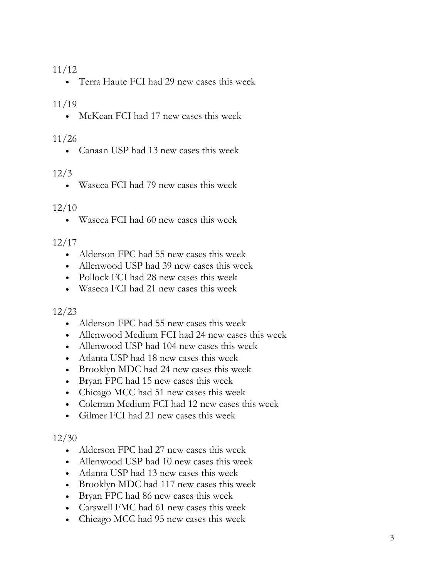• Terra Haute FCI had 29 new cases this week

### 11/19

• McKean FCI had 17 new cases this week

#### 11/26

• Canaan USP had 13 new cases this week

## 12/3

• Waseca FCI had 79 new cases this week

#### 12/10

• Waseca FCI had 60 new cases this week

### 12/17

- Alderson FPC had 55 new cases this week
- Allenwood USP had 39 new cases this week
- Pollock FCI had 28 new cases this week
- Waseca FCI had 21 new cases this week

## 12/23

- Alderson FPC had 55 new cases this week
- Allenwood Medium FCI had 24 new cases this week
- Allenwood USP had 104 new cases this week
- Atlanta USP had 18 new cases this week
- Brooklyn MDC had 24 new cases this week
- Bryan FPC had 15 new cases this week
- Chicago MCC had 51 new cases this week
- Coleman Medium FCI had 12 new cases this week
- Gilmer FCI had 21 new cases this week

- Alderson FPC had 27 new cases this week
- Allenwood USP had 10 new cases this week
- Atlanta USP had 13 new cases this week
- Brooklyn MDC had 117 new cases this week
- Bryan FPC had 86 new cases this week
- Carswell FMC had 61 new cases this week
- Chicago MCC had 95 new cases this week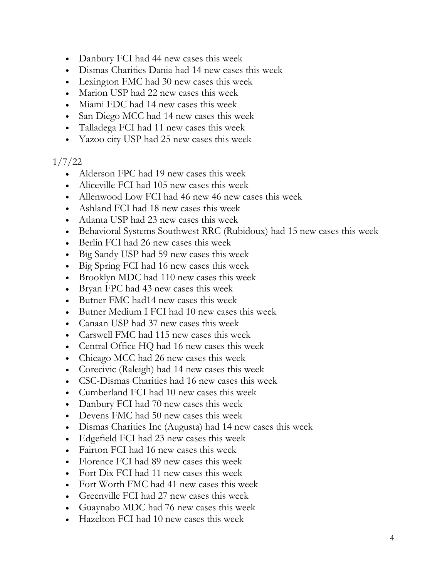- Danbury FCI had 44 new cases this week
- Dismas Charities Dania had 14 new cases this week
- Lexington FMC had 30 new cases this week
- Marion USP had 22 new cases this week
- Miami FDC had 14 new cases this week
- San Diego MCC had 14 new cases this week
- Talladega FCI had 11 new cases this week
- Yazoo city USP had 25 new cases this week

## 1/7/22

- Alderson FPC had 19 new cases this week
- Aliceville FCI had 105 new cases this week
- Allenwood Low FCI had 46 new 46 new cases this week
- Ashland FCI had 18 new cases this week
- Atlanta USP had 23 new cases this week
- Behavioral Systems Southwest RRC (Rubidoux) had 15 new cases this week
- Berlin FCI had 26 new cases this week
- Big Sandy USP had 59 new cases this week
- Big Spring FCI had 16 new cases this week
- Brooklyn MDC had 110 new cases this week
- Bryan FPC had 43 new cases this week
- Butner FMC had 14 new cases this week
- Butner Medium I FCI had 10 new cases this week
- Canaan USP had 37 new cases this week
- Carswell FMC had 115 new cases this week
- Central Office HQ had 16 new cases this week
- Chicago MCC had 26 new cases this week
- Corecivic (Raleigh) had 14 new cases this week
- CSC-Dismas Charities had 16 new cases this week
- Cumberland FCI had 10 new cases this week
- Danbury FCI had 70 new cases this week
- Devens FMC had 50 new cases this week
- Dismas Charities Inc (Augusta) had 14 new cases this week
- Edgefield FCI had 23 new cases this week
- Fairton FCI had 16 new cases this week
- Florence FCI had 89 new cases this week
- Fort Dix FCI had 11 new cases this week
- Fort Worth FMC had 41 new cases this week
- Greenville FCI had 27 new cases this week
- Guaynabo MDC had 76 new cases this week
- Hazelton FCI had 10 new cases this week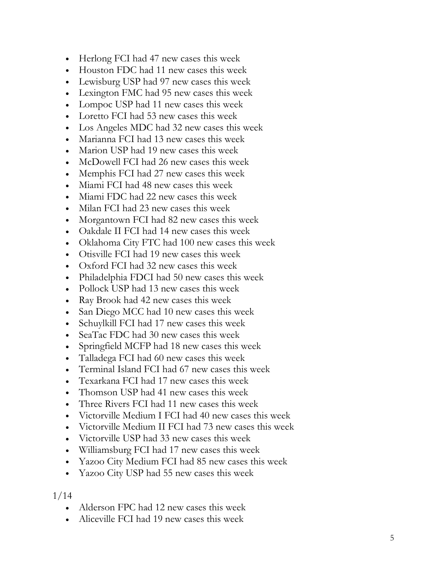- Herlong FCI had 47 new cases this week
- Houston FDC had 11 new cases this week
- Lewisburg USP had 97 new cases this week
- Lexington FMC had 95 new cases this week
- Lompoc USP had 11 new cases this week
- Loretto FCI had 53 new cases this week
- Los Angeles MDC had 32 new cases this week
- Marianna FCI had 13 new cases this week
- Marion USP had 19 new cases this week
- McDowell FCI had 26 new cases this week
- Memphis FCI had 27 new cases this week
- Miami FCI had 48 new cases this week
- Miami FDC had 22 new cases this week
- Milan FCI had 23 new cases this week
- Morgantown FCI had 82 new cases this week
- Oakdale II FCI had 14 new cases this week
- Oklahoma City FTC had 100 new cases this week
- Otisville FCI had 19 new cases this week
- Oxford FCI had 32 new cases this week
- Philadelphia FDCI had 50 new cases this week
- Pollock USP had 13 new cases this week
- Ray Brook had 42 new cases this week
- San Diego MCC had 10 new cases this week
- Schuylkill FCI had 17 new cases this week
- SeaTac FDC had 30 new cases this week
- Springfield MCFP had 18 new cases this week
- Talladega FCI had 60 new cases this week
- Terminal Island FCI had 67 new cases this week
- Texarkana FCI had 17 new cases this week
- Thomson USP had 41 new cases this week
- Three Rivers FCI had 11 new cases this week
- Victorville Medium I FCI had 40 new cases this week
- Victorville Medium II FCI had 73 new cases this week
- Victorville USP had 33 new cases this week
- Williamsburg FCI had 17 new cases this week
- Yazoo City Medium FCI had 85 new cases this week
- Yazoo City USP had 55 new cases this week

- Alderson FPC had 12 new cases this week
- Aliceville FCI had 19 new cases this week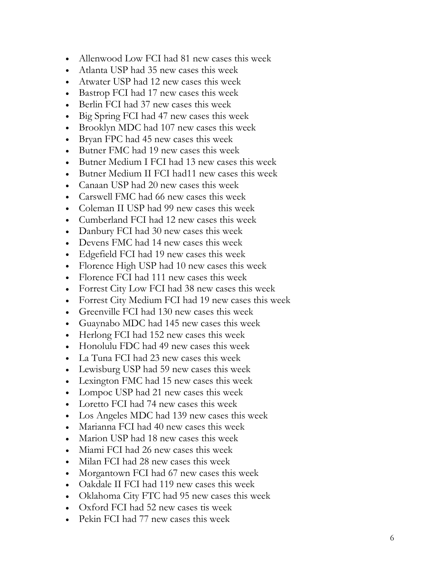- Allenwood Low FCI had 81 new cases this week
- Atlanta USP had 35 new cases this week
- Atwater USP had 12 new cases this week
- Bastrop FCI had 17 new cases this week
- Berlin FCI had 37 new cases this week
- Big Spring FCI had 47 new cases this week
- Brooklyn MDC had 107 new cases this week
- Bryan FPC had 45 new cases this week
- Butner FMC had 19 new cases this week
- Butner Medium I FCI had 13 new cases this week
- Butner Medium II FCI had11 new cases this week
- Canaan USP had 20 new cases this week
- Carswell FMC had 66 new cases this week
- Coleman II USP had 99 new cases this week
- Cumberland FCI had 12 new cases this week
- Danbury FCI had 30 new cases this week
- Devens FMC had 14 new cases this week
- Edgefield FCI had 19 new cases this week
- Florence High USP had 10 new cases this week
- Florence FCI had 111 new cases this week
- Forrest City Low FCI had 38 new cases this week
- Forrest City Medium FCI had 19 new cases this week
- Greenville FCI had 130 new cases this week
- Guaynabo MDC had 145 new cases this week
- Herlong FCI had 152 new cases this week
- Honolulu FDC had 49 new cases this week
- La Tuna FCI had 23 new cases this week
- Lewisburg USP had 59 new cases this week
- Lexington FMC had 15 new cases this week
- Lompoc USP had 21 new cases this week
- Loretto FCI had 74 new cases this week
- Los Angeles MDC had 139 new cases this week
- Marianna FCI had 40 new cases this week
- Marion USP had 18 new cases this week
- Miami FCI had 26 new cases this week
- Milan FCI had 28 new cases this week
- Morgantown FCI had 67 new cases this week
- Oakdale II FCI had 119 new cases this week
- Oklahoma City FTC had 95 new cases this week
- Oxford FCI had 52 new cases tis week
- Pekin FCI had 77 new cases this week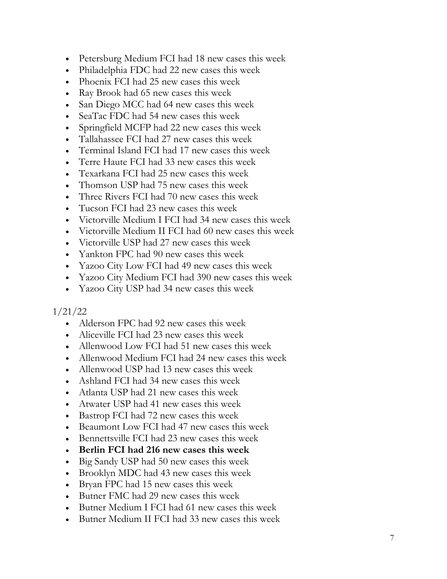- Petersburg Medium FCI had 18 new cases this week
- Philadelphia FDC had 22 new cases this week
- Phoenix FCI had 25 new cases this week
- Ray Brook had 65 new cases this week
- San Diego MCC had 64 new cases this week
- SeaTac FDC had 54 new cases this week
- Springfield MCFP had 22 new cases this week
- Tallahassee FCI had 27 new cases this week
- Terminal Island FCI had 17 new cases this week
- Terre Haute FCI had 33 new cases this week
- Texarkana FCI had 25 new cases this week
- Thomson USP had 75 new cases this week
- Three Rivers FCI had 70 new cases this week
- Tucson FCI had 23 new cases this week
- Victorville Medium I FCI had 34 new cases this week
- Victorville Medium II FCI had 60 new cases this week
- Victorville USP had 27 new cases this week
- Yankton FPC had 90 new cases this week
- Yazoo City Low FCI had 49 new cases this week
- Yazoo City Medium FCI had 390 new cases this week
- Yazoo City USP had 34 new cases this week

#### 1/21/22

- Alderson FPC had 92 new cases this week
- Aliceville FCI had 23 new cases this week
- Allenwood Low FCI had 51 new cases this week
- Allenwood Medium FCI had 24 new cases this week
- Allenwood USP had 13 new cases this week
- Ashland FCI had 34 new cases this week
- Atlanta USP had 21 new cases this week
- Atwater USP had 41 new cases this week
- Bastrop FCI had 72 new cases this week
- Beaumont Low FCI had 47 new cases this week
- Bennettsville FCI had 23 new cases this week
- **Berlin FCI had 216 new cases this week**
- Big Sandy USP had 50 new cases this week
- Brooklyn MDC had 43 new cases this week
- Bryan FPC had 15 new cases this week
- Butner FMC had 29 new cases this week
- Butner Medium I FCI had 61 new cases this week
- Butner Medium II FCI had 33 new cases this week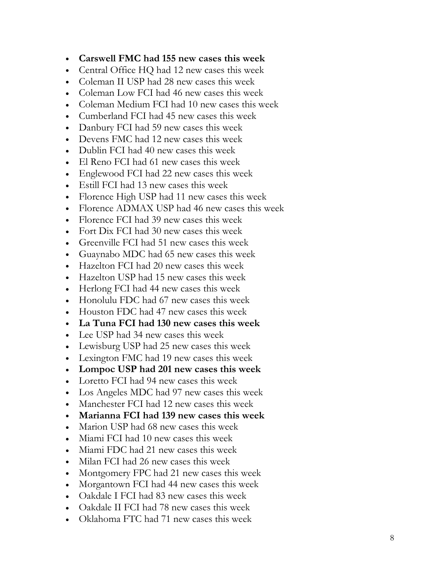- **Carswell FMC had 155 new cases this week**
- Central Office HQ had 12 new cases this week
- Coleman II USP had 28 new cases this week
- Coleman Low FCI had 46 new cases this week
- Coleman Medium FCI had 10 new cases this week
- Cumberland FCI had 45 new cases this week
- Danbury FCI had 59 new cases this week
- Devens FMC had 12 new cases this week
- Dublin FCI had 40 new cases this week
- El Reno FCI had 61 new cases this week
- Englewood FCI had 22 new cases this week
- Estill FCI had 13 new cases this week
- Florence High USP had 11 new cases this week
- Florence ADMAX USP had 46 new cases this week
- Florence FCI had 39 new cases this week
- Fort Dix FCI had 30 new cases this week
- Greenville FCI had 51 new cases this week
- Guaynabo MDC had 65 new cases this week
- Hazelton FCI had 20 new cases this week
- Hazelton USP had 15 new cases this week
- Herlong FCI had 44 new cases this week
- Honolulu FDC had 67 new cases this week
- Houston FDC had 47 new cases this week
- **La Tuna FCI had 130 new cases this week**
- Lee USP had 34 new cases this week
- Lewisburg USP had 25 new cases this week
- Lexington FMC had 19 new cases this week
- **Lompoc USP had 201 new cases this week**
- Loretto FCI had 94 new cases this week
- Los Angeles MDC had 97 new cases this week
- Manchester FCI had 12 new cases this week
- **Marianna FCI had 139 new cases this week**
- Marion USP had 68 new cases this week
- Miami FCI had 10 new cases this week
- Miami FDC had 21 new cases this week
- Milan FCI had 26 new cases this week
- Montgomery FPC had 21 new cases this week
- Morgantown FCI had 44 new cases this week
- Oakdale I FCI had 83 new cases this week
- Oakdale II FCI had 78 new cases this week
- Oklahoma FTC had 71 new cases this week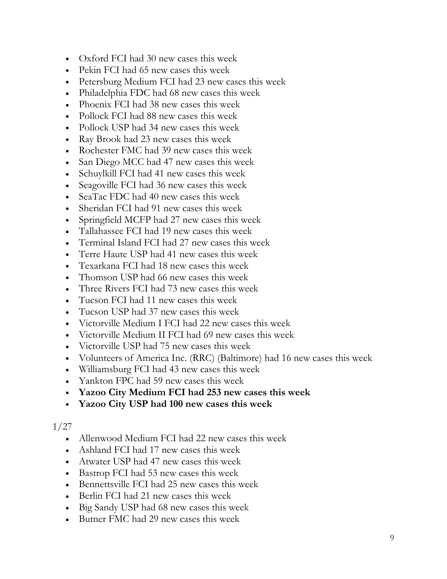- Oxford FCI had 30 new cases this week
- Pekin FCI had 65 new cases this week
- Petersburg Medium FCI had 23 new cases this week
- Philadelphia FDC had 68 new cases this week
- Phoenix FCI had 38 new cases this week
- Pollock FCI had 88 new cases this week
- Pollock USP had 34 new cases this week
- Ray Brook had 23 new cases this week
- Rochester FMC had 39 new cases this week
- San Diego MCC had 47 new cases this week
- Schuylkill FCI had 41 new cases this week
- Seagoville FCI had 36 new cases this week
- SeaTac FDC had 40 new cases this week
- Sheridan FCI had 91 new cases this week
- Springfield MCFP had 27 new cases this week
- Tallahassee FCI had 19 new cases this week
- Terminal Island FCI had 27 new cases this week
- Terre Haute USP had 41 new cases this week
- Texarkana FCI had 18 new cases this week
- Thomson USP had 66 new cases this week
- Three Rivers FCI had 73 new cases this week
- Tucson FCI had 11 new cases this week
- Tucson USP had 37 new cases this week
- Victorville Medium I FCI had 22 new cases this week
- Victorville Medium II FCI had 69 new cases this week
- Victorville USP had 75 new cases this week
- Volunteers of America Inc. (RRC) (Baltimore) had 16 new cases this week
- Williamsburg FCI had 43 new cases this week
- Yankton FPC had 59 new cases this week
- **Yazoo City Medium FCI had 253 new cases this week**
- **Yazoo City USP had 100 new cases this week**

- Allenwood Medium FCI had 22 new cases this week
- Ashland FCI had 17 new cases this week
- Atwater USP had 47 new cases this week
- Bastrop FCI had 53 new cases this week
- Bennettsville FCI had 25 new cases this week
- Berlin FCI had 21 new cases this week
- Big Sandy USP had 68 new cases this week
- Butner FMC had 29 new cases this week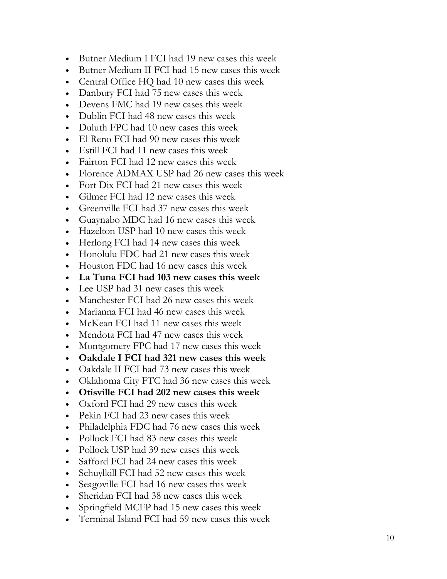- Butner Medium I FCI had 19 new cases this week
- Butner Medium II FCI had 15 new cases this week
- Central Office HQ had 10 new cases this week
- Danbury FCI had 75 new cases this week
- Devens FMC had 19 new cases this week
- Dublin FCI had 48 new cases this week
- Duluth FPC had 10 new cases this week
- El Reno FCI had 90 new cases this week
- Estill FCI had 11 new cases this week
- Fairton FCI had 12 new cases this week
- Florence ADMAX USP had 26 new cases this week
- Fort Dix FCI had 21 new cases this week
- Gilmer FCI had 12 new cases this week
- Greenville FCI had 37 new cases this week
- Guaynabo MDC had 16 new cases this week
- Hazelton USP had 10 new cases this week
- Herlong FCI had 14 new cases this week
- Honolulu FDC had 21 new cases this week
- Houston FDC had 16 new cases this week
- **La Tuna FCI had 103 new cases this week**
- Lee USP had 31 new cases this week
- Manchester FCI had 26 new cases this week
- Marianna FCI had 46 new cases this week
- McKean FCI had 11 new cases this week
- Mendota FCI had 47 new cases this week
- Montgomery FPC had 17 new cases this week
- **Oakdale I FCI had 321 new cases this week**
- Oakdale II FCI had 73 new cases this week
- Oklahoma City FTC had 36 new cases this week
- **Otisville FCI had 202 new cases this week**
- Oxford FCI had 29 new cases this week
- Pekin FCI had 23 new cases this week
- Philadelphia FDC had 76 new cases this week
- Pollock FCI had 83 new cases this week
- Pollock USP had 39 new cases this week
- Safford FCI had 24 new cases this week
- Schuylkill FCI had 52 new cases this week
- Seagoville FCI had 16 new cases this week
- Sheridan FCI had 38 new cases this week
- Springfield MCFP had 15 new cases this week
- Terminal Island FCI had 59 new cases this week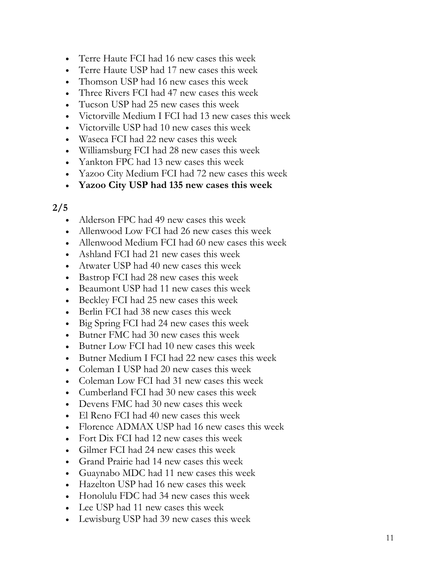- Terre Haute FCI had 16 new cases this week
- Terre Haute USP had 17 new cases this week
- Thomson USP had 16 new cases this week
- Three Rivers FCI had 47 new cases this week
- Tucson USP had 25 new cases this week
- Victorville Medium I FCI had 13 new cases this week
- Victorville USP had 10 new cases this week
- Waseca FCI had 22 new cases this week
- Williamsburg FCI had 28 new cases this week
- Yankton FPC had 13 new cases this week
- Yazoo City Medium FCI had 72 new cases this week
- **Yazoo City USP had 135 new cases this week**

- Alderson FPC had 49 new cases this week
- Allenwood Low FCI had 26 new cases this week
- Allenwood Medium FCI had 60 new cases this week
- Ashland FCI had 21 new cases this week
- Atwater USP had 40 new cases this week
- Bastrop FCI had 28 new cases this week
- Beaumont USP had 11 new cases this week
- Beckley FCI had 25 new cases this week
- Berlin FCI had 38 new cases this week
- Big Spring FCI had 24 new cases this week
- Butner FMC had 30 new cases this week
- Butner Low FCI had 10 new cases this week
- Butner Medium I FCI had 22 new cases this week
- Coleman I USP had 20 new cases this week
- Coleman Low FCI had 31 new cases this week
- Cumberland FCI had 30 new cases this week
- Devens FMC had 30 new cases this week
- El Reno FCI had 40 new cases this week
- Florence ADMAX USP had 16 new cases this week
- Fort Dix FCI had 12 new cases this week
- Gilmer FCI had 24 new cases this week
- Grand Prairie had 14 new cases this week
- Guaynabo MDC had 11 new cases this week
- Hazelton USP had 16 new cases this week
- Honolulu FDC had 34 new cases this week
- Lee USP had 11 new cases this week
- Lewisburg USP had 39 new cases this week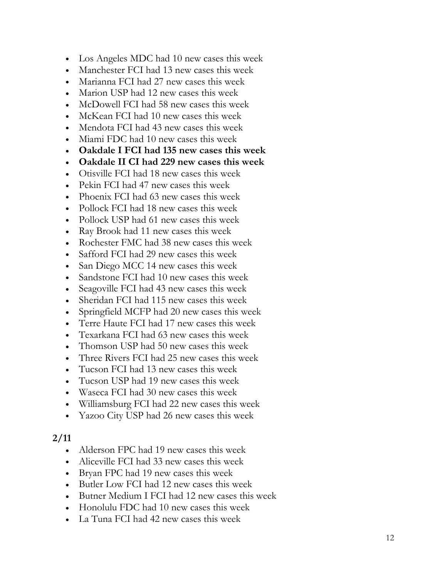- Los Angeles MDC had 10 new cases this week
- Manchester FCI had 13 new cases this week
- Marianna FCI had 27 new cases this week
- Marion USP had 12 new cases this week
- McDowell FCI had 58 new cases this week
- McKean FCI had 10 new cases this week
- Mendota FCI had 43 new cases this week
- Miami FDC had 10 new cases this week
- **Oakdale I FCI had 135 new cases this week**
- **Oakdale II CI had 229 new cases this week**
- Otisville FCI had 18 new cases this week
- Pekin FCI had 47 new cases this week
- Phoenix FCI had 63 new cases this week
- Pollock FCI had 18 new cases this week
- Pollock USP had 61 new cases this week
- Ray Brook had 11 new cases this week
- Rochester FMC had 38 new cases this week
- Safford FCI had 29 new cases this week
- San Diego MCC 14 new cases this week
- Sandstone FCI had 10 new cases this week
- Seagoville FCI had 43 new cases this week
- Sheridan FCI had 115 new cases this week
- Springfield MCFP had 20 new cases this week
- Terre Haute FCI had 17 new cases this week
- Texarkana FCI had 63 new cases this week
- Thomson USP had 50 new cases this week
- Three Rivers FCI had 25 new cases this week
- Tucson FCI had 13 new cases this week
- Tucson USP had 19 new cases this week
- Waseca FCI had 30 new cases this week
- Williamsburg FCI had 22 new cases this week
- Yazoo City USP had 26 new cases this week

- Alderson FPC had 19 new cases this week
- Aliceville FCI had 33 new cases this week
- Bryan FPC had 19 new cases this week
- Butler Low FCI had 12 new cases this week
- Butner Medium I FCI had 12 new cases this week
- Honolulu FDC had 10 new cases this week
- La Tuna FCI had 42 new cases this week